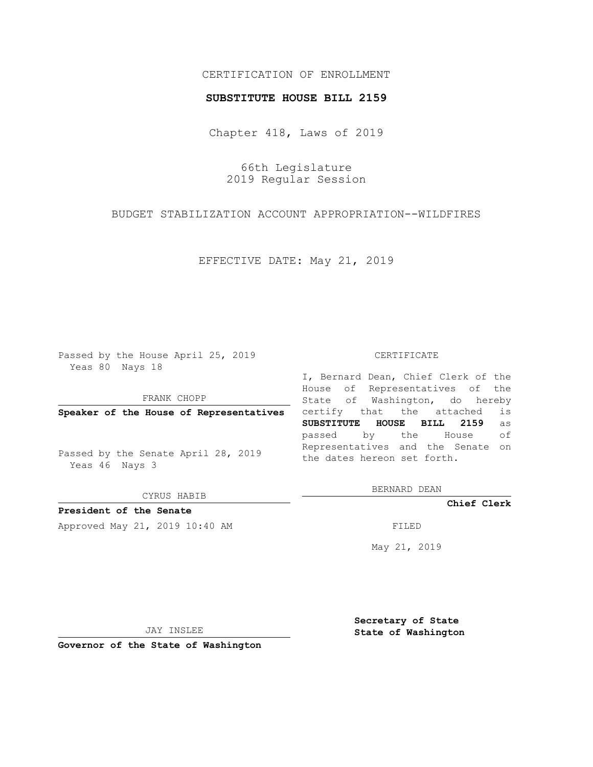## CERTIFICATION OF ENROLLMENT

## **SUBSTITUTE HOUSE BILL 2159**

Chapter 418, Laws of 2019

66th Legislature 2019 Regular Session

BUDGET STABILIZATION ACCOUNT APPROPRIATION--WILDFIRES

EFFECTIVE DATE: May 21, 2019

Passed by the House April 25, 2019 Yeas 80 Nays 18

FRANK CHOPP

Passed by the Senate April 28, 2019 Yeas 46 Nays 3

CYRUS HABIB

**President of the Senate**

Approved May 21, 2019 10:40 AM FILED

## CERTIFICATE

**Speaker of the House of Representatives** certify that the attached is I, Bernard Dean, Chief Clerk of the House of Representatives of the State of Washington, do hereby **SUBSTITUTE HOUSE BILL 2159** as passed by the House of Representatives and the Senate on the dates hereon set forth.

BERNARD DEAN

**Chief Clerk**

May 21, 2019

JAY INSLEE

**Governor of the State of Washington**

**Secretary of State State of Washington**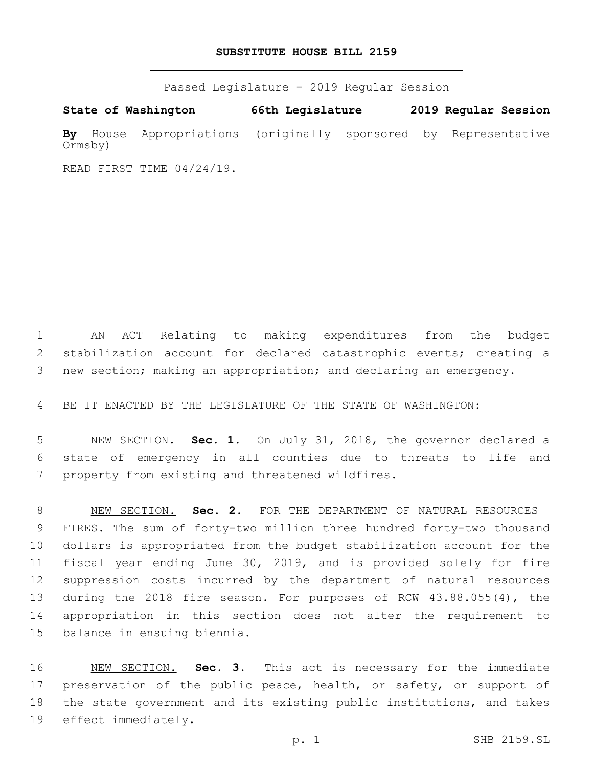## **SUBSTITUTE HOUSE BILL 2159**

Passed Legislature - 2019 Regular Session

**State of Washington 66th Legislature 2019 Regular Session By** House Appropriations (originally sponsored by Representative Ormsby)

READ FIRST TIME 04/24/19.

 AN ACT Relating to making expenditures from the budget stabilization account for declared catastrophic events; creating a new section; making an appropriation; and declaring an emergency.

BE IT ENACTED BY THE LEGISLATURE OF THE STATE OF WASHINGTON:

 NEW SECTION. **Sec. 1.** On July 31, 2018, the governor declared a state of emergency in all counties due to threats to life and property from existing and threatened wildfires.

 NEW SECTION. **Sec. 2.** FOR THE DEPARTMENT OF NATURAL RESOURCES— FIRES. The sum of forty-two million three hundred forty-two thousand dollars is appropriated from the budget stabilization account for the fiscal year ending June 30, 2019, and is provided solely for fire suppression costs incurred by the department of natural resources during the 2018 fire season. For purposes of RCW 43.88.055(4), the appropriation in this section does not alter the requirement to 15 balance in ensuing biennia.

 NEW SECTION. **Sec. 3.** This act is necessary for the immediate 17 preservation of the public peace, health, or safety, or support of the state government and its existing public institutions, and takes effect immediately.